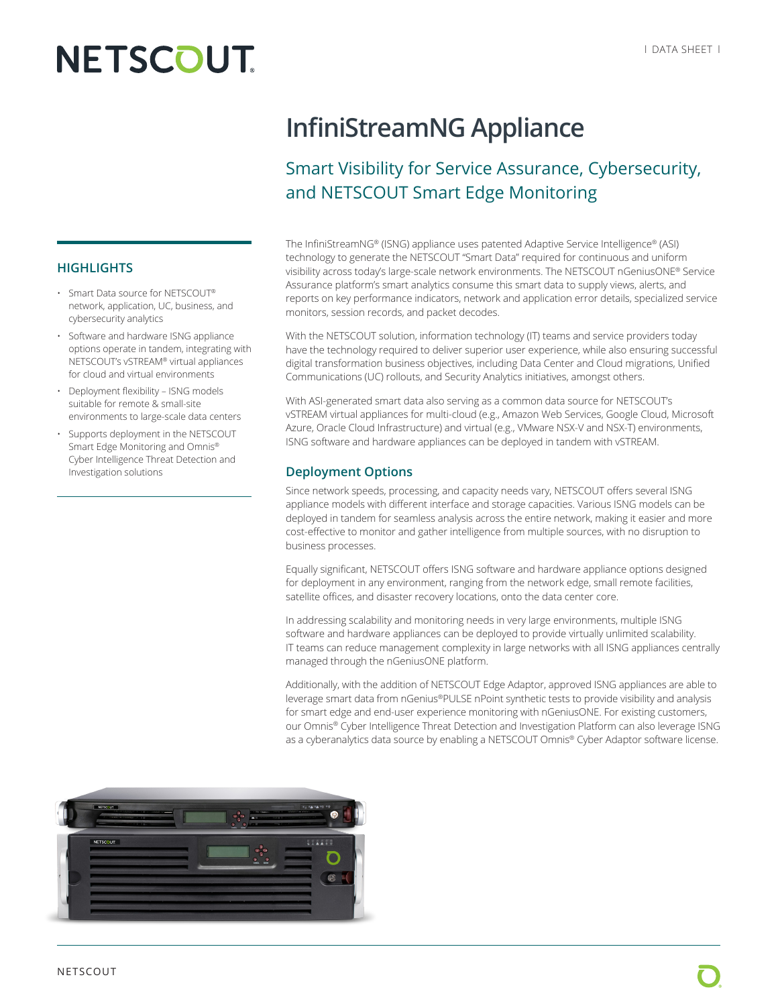# **NETSCOUT**

## **InfiniStreamNG Appliance**

### Smart Visibility for Service Assurance, Cybersecurity, and NETSCOUT Smart Edge Monitoring

The InfiniStreamNG® (ISNG) appliance uses patented Adaptive Service Intelligence® (ASI) technology to generate the NETSCOUT "Smart Data" required for continuous and uniform visibility across today's large-scale network environments. The NETSCOUT nGeniusONE® Service Assurance platform's smart analytics consume this smart data to supply views, alerts, and reports on key performance indicators, network and application error details, specialized service monitors, session records, and packet decodes.

With the NETSCOUT solution, information technology (IT) teams and service providers today have the technology required to deliver superior user experience, while also ensuring successful digital transformation business objectives, including Data Center and Cloud migrations, Unified Communications (UC) rollouts, and Security Analytics initiatives, amongst others.

With ASI-generated smart data also serving as a common data source for NETSCOUT's vSTREAM virtual appliances for multi-cloud (e.g., Amazon Web Services, Google Cloud, Microsoft Azure, Oracle Cloud Infrastructure) and virtual (e.g., VMware NSX-V and NSX-T) environments, ISNG software and hardware appliances can be deployed in tandem with vSTREAM.

#### **Deployment Options**

Since network speeds, processing, and capacity needs vary, NETSCOUT offers several ISNG appliance models with different interface and storage capacities. Various ISNG models can be deployed in tandem for seamless analysis across the entire network, making it easier and more cost-effective to monitor and gather intelligence from multiple sources, with no disruption to business processes.

Equally significant, NETSCOUT offers ISNG software and hardware appliance options designed for deployment in any environment, ranging from the network edge, small remote facilities, satellite offices, and disaster recovery locations, onto the data center core.

In addressing scalability and monitoring needs in very large environments, multiple ISNG software and hardware appliances can be deployed to provide virtually unlimited scalability. IT teams can reduce management complexity in large networks with all ISNG appliances centrally managed through the nGeniusONE platform.

Additionally, with the addition of NETSCOUT Edge Adaptor, approved ISNG appliances are able to leverage smart data from nGenius®PULSE nPoint synthetic tests to provide visibility and analysis for smart edge and end-user experience monitoring with nGeniusONE. For existing customers, our Omnis® Cyber Intelligence Threat Detection and Investigation Platform can also leverage ISNG as a cyberanalytics data source by enabling a NETSCOUT Omnis® Cyber Adaptor software license.



#### • Software and hardware ISNG appliance options operate in tandem, integrating with

**HIGHLIGHTS**

NETSCOUT's vSTREAM® virtual appliances for cloud and virtual environments • Deployment flexibility – ISNG models

• Smart Data source for NETSCOUT® network, application, UC, business, and

cybersecurity analytics

- suitable for remote & small-site environments to large-scale data centers
- Supports deployment in the NETSCOUT Smart Edge Monitoring and Omnis® Cyber Intelligence Threat Detection and Investigation solutions